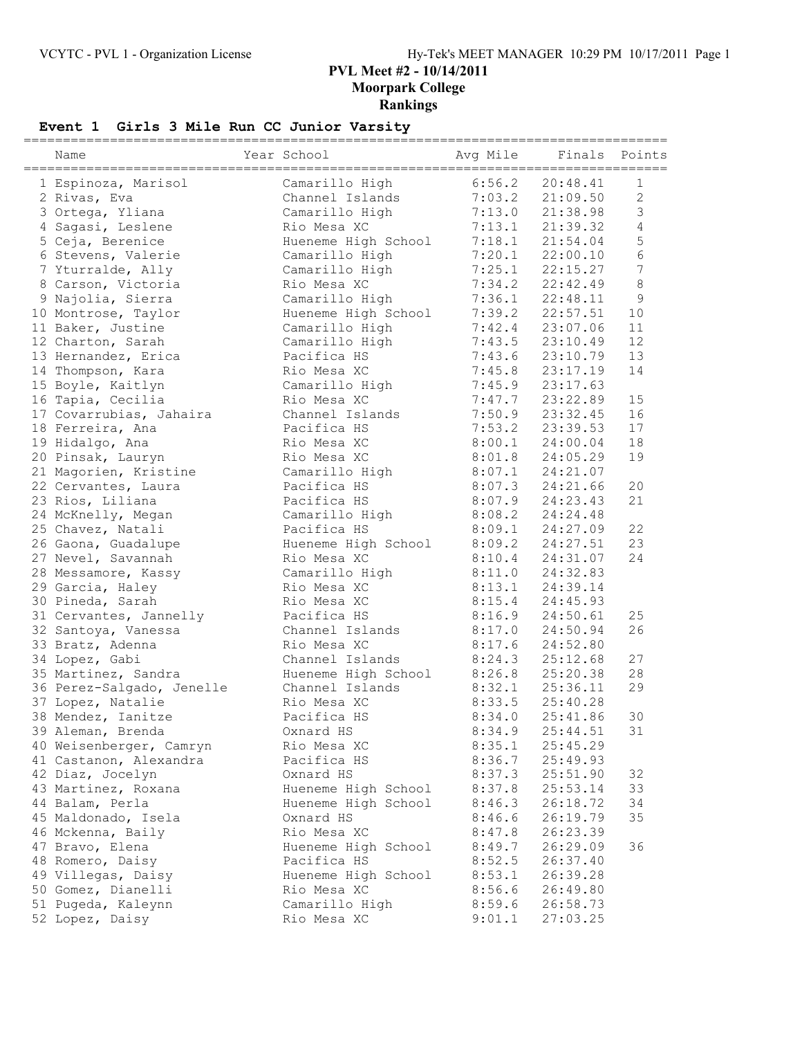## **Event 1 Girls 3 Mile Run CC Junior Varsity**

| Name                                    | Year School                      | Avg Mile         | Finals               | Points           |
|-----------------------------------------|----------------------------------|------------------|----------------------|------------------|
| 1 Espinoza, Marisol                     | Camarillo High                   | 6:56.2           | 20:48.41             | 1                |
| 2 Rivas, Eva                            | Channel Islands                  | 7:03.2           | 21:09.50             | $\overline{c}$   |
| 3 Ortega, Yliana                        | Camarillo High                   | 7:13.0           | 21:38.98             | $\mathsf 3$      |
| 4 Sagasi, Leslene                       | Rio Mesa XC                      | 7:13.1           | 21:39.32             | $\sqrt{4}$       |
|                                         |                                  | 7:18.1           | 21:54.04             | 5                |
| 5 Ceja, Berenice                        | Hueneme High School              |                  |                      | $6\phantom{a}$   |
| 6 Stevens, Valerie                      | Camarillo High<br>Camarillo High | 7:20.1           | 22:00.10<br>22:15.27 | $\boldsymbol{7}$ |
| 7 Yturralde, Ally                       | Rio Mesa XC                      | 7:25.1           |                      | 8                |
| 8 Carson, Victoria<br>9 Najolia, Sierra |                                  | 7:34.2<br>7:36.1 | 22:42.49             | $\mathcal{G}$    |
|                                         | Camarillo High                   | 7:39.2           | 22:48.11             | $10$             |
| 10 Montrose, Taylor                     | Hueneme High School              |                  | 22:57.51             | 11               |
| 11 Baker, Justine                       | Camarillo High                   | 7:42.4           | 23:07.06             | 12               |
| 12 Charton, Sarah                       | Camarillo High                   | 7:43.5           | 23:10.49             |                  |
| 13 Hernandez, Erica                     | Pacifica HS                      | 7:43.6           | 23:10.79             | 13               |
| 14 Thompson, Kara                       | Rio Mesa XC                      | 7:45.8           | 23:17.19             | 14               |
| 15 Boyle, Kaitlyn                       | Camarillo High                   | 7:45.9           | 23:17.63             |                  |
| 16 Tapia, Cecilia                       | Rio Mesa XC                      | 7:47.7           | 23:22.89             | 15               |
| 17 Covarrubias, Jahaira                 | Channel Islands                  | 7:50.9           | 23:32.45             | 16               |
| 18 Ferreira, Ana                        | Pacifica HS                      | 7:53.2           | 23:39.53             | 17               |
| 19 Hidalgo, Ana                         | Rio Mesa XC                      | 8:00.1           | 24:00.04             | 18               |
| 20 Pinsak, Lauryn                       | Rio Mesa XC                      | 8:01.8           | 24:05.29             | 19               |
| 21 Magorien, Kristine                   | Camarillo High                   | 8:07.1           | 24:21.07             |                  |
| 22 Cervantes, Laura                     | Pacifica HS                      | 8:07.3           | 24:21.66             | 20               |
| 23 Rios, Liliana                        | Pacifica HS                      | 8:07.9           | 24:23.43             | 21               |
| 24 McKnelly, Megan                      | Camarillo High                   | 8:08.2           | 24:24.48             |                  |
| 25 Chavez, Natali                       | Pacifica HS                      | 8:09.1           | 24:27.09             | 22               |
| 26 Gaona, Guadalupe                     | Hueneme High School              | 8:09.2           | 24:27.51             | 23               |
| 27 Nevel, Savannah                      | Rio Mesa XC                      | 8:10.4           | 24:31.07             | 24               |
| 28 Messamore, Kassy                     | Camarillo High                   | 8:11.0           | 24:32.83             |                  |
| 29 Garcia, Haley                        | Rio Mesa XC                      | 8:13.1           | 24:39.14             |                  |
| 30 Pineda, Sarah                        | Rio Mesa XC                      | 8:15.4           | 24:45.93             |                  |
| 31 Cervantes, Jannelly                  | Pacifica HS                      | 8:16.9           | 24:50.61             | 25               |
| 32 Santoya, Vanessa                     | Channel Islands                  | 8:17.0           | 24:50.94             | 26               |
| 33 Bratz, Adenna                        | Rio Mesa XC                      | 8:17.6           | 24:52.80             |                  |
| 34 Lopez, Gabi                          | Channel Islands                  | 8:24.3           | 25:12.68             | 27               |
| 35 Martinez, Sandra                     | Hueneme High School              | 8:26.8           | 25:20.38             | 28               |
| 36 Perez-Salgado, Jenelle               | Channel Islands                  | 8:32.1           | 25:36.11             | 29               |
| 37 Lopez, Natalie                       | Rio Mesa XC                      | 8:33.5           | 25:40.28             |                  |
| 38 Mendez, Ianitze                      | Pacifica HS                      | 8:34.0           | 25:41.86             | 30               |
| 39 Aleman, Brenda                       | Oxnard HS                        | 8:34.9           | 25:44.51             | 31               |
| 40 Weisenberger, Camryn                 | Rio Mesa XC                      | 8:35.1           | 25:45.29             |                  |
| 41 Castanon, Alexandra                  | Pacifica HS                      | 8:36.7           | 25:49.93             |                  |
| 42 Diaz, Jocelyn                        | Oxnard HS                        | 8:37.3           | 25:51.90             | 32               |
| 43 Martinez, Roxana                     | Hueneme High School              | 8:37.8           | 25:53.14             | 33               |
| 44 Balam, Perla                         | Hueneme High School              | 8:46.3           | 26:18.72             | 34               |
| 45 Maldonado, Isela                     | Oxnard HS                        | 8:46.6           | 26:19.79             | 35               |
| 46 Mckenna, Baily                       | Rio Mesa XC                      | 8:47.8           | 26:23.39             |                  |
| 47 Bravo, Elena                         | Hueneme High School              | 8:49.7           | 26:29.09             | 36               |
| 48 Romero, Daisy                        | Pacifica HS                      | 8:52.5           | 26:37.40             |                  |
| 49 Villegas, Daisy                      | Hueneme High School              | 8:53.1           | 26:39.28             |                  |
| 50 Gomez, Dianelli                      | Rio Mesa XC                      | 8:56.6           | 26:49.80             |                  |
| 51 Pugeda, Kaleynn                      | Camarillo High                   | 8:59.6           | 26:58.73             |                  |
| 52 Lopez, Daisy                         | Rio Mesa XC                      | 9:01.1           | 27:03.25             |                  |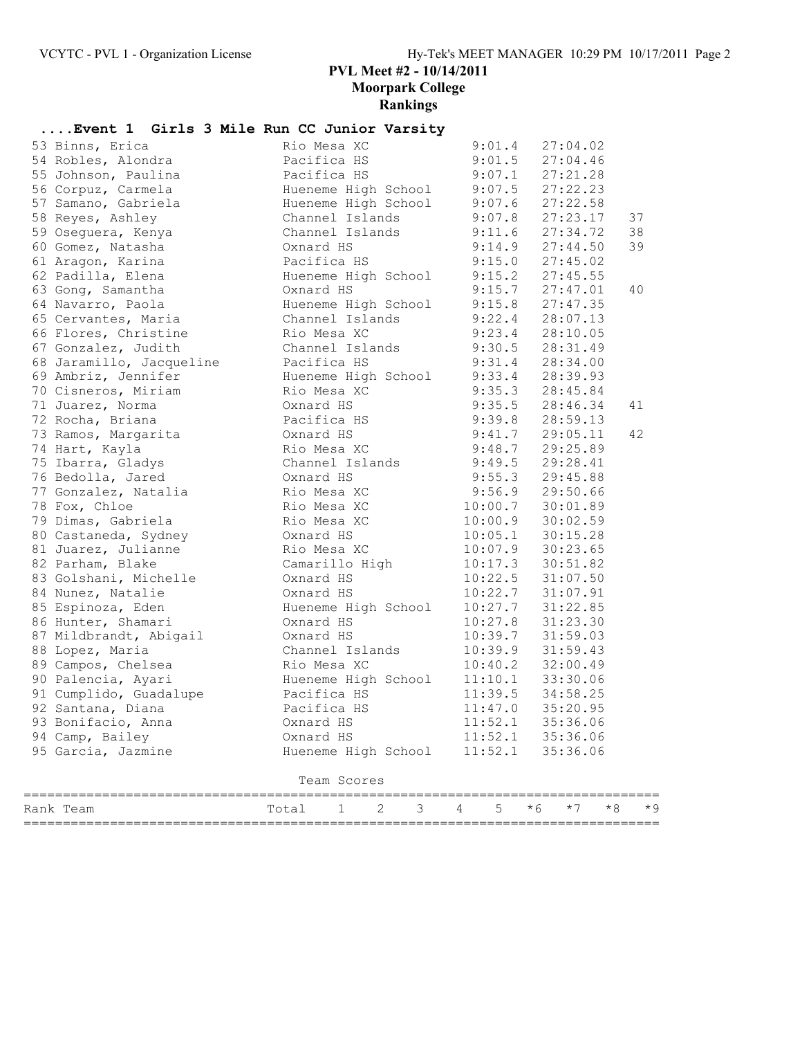# **....Event 1 Girls 3 Mile Run CC Junior Varsity**

| 58 Reyes, Ashley<br>59 Oseguera, Kenya    | Channel Islands<br>Channel Islands                 |                   | 9:07.8 27:23.17<br>9:11.6 27:34.72           | 37<br>38 |
|-------------------------------------------|----------------------------------------------------|-------------------|----------------------------------------------|----------|
| 60 Gomez, Natasha                         | Oxnard HS                                          |                   | $9:14.9$ $27:44.50$                          | 39       |
| 61 Aragon, Karina                         | Pacifica HS                                        |                   | $9:15.0$ $27:45.02$                          |          |
| 62 Padilla, Elena                         | Hueneme High School 9:15.2                         |                   | 27:45.55                                     |          |
| 63 Gong, Samantha                         | Oxnard HS                                          |                   | $9:15.7$ $27:47.01$                          | 40       |
| 64 Navarro, Paola                         | Hueneme High School                                |                   | 9:15.8 27:47.35<br>9:22.4 28:07.13           |          |
| 65 Cervantes, Maria                       | Channel Islands                                    |                   |                                              |          |
| 66 Flores, Christine                      | Rio Mesa XC                                        |                   | $9:23.4$ $28:10.05$                          |          |
| 67 Gonzalez, Judith                       | Channel Islands                                    | $9:30.5$ 28:31.49 |                                              |          |
| 68 Jaramillo, Jacqueline                  | Pacifica HS                                        |                   | $9:31.4$ $28:34.00$                          |          |
| 69 Ambriz, Jennifer                       | Hueneme High School 9:33.4 28:39.93<br>Rio Mesa XC |                   |                                              |          |
| 70 Cisneros, Miriam<br>71 Juarez, Norma   | Oxnard HS                                          |                   | 9:35.3 28:45.84<br>9:35.5 28:46.34           | 41       |
| 72 Rocha, Briana                          | Pacifica HS                                        |                   | $9:39.8$ 28:59.13                            |          |
| 73 Ramos, Margarita                       | Oxnard HS                                          |                   | $9:41.7$ 29:05.11                            | 42       |
| 74 Hart, Kayla                            | Rio Mesa XC                                        |                   | $9:48.7$ 29:25.89                            |          |
| 75 Ibarra, Gladys                         | Channel Islands                                    |                   | $9:49.5$ 29:28.41                            |          |
| 76 Bedolla, Jared                         | Oxnard HS                                          |                   |                                              |          |
| 77 Gonzalez, Natalia                      | Rio Mesa XC                                        |                   | 9:55.3 29:45.88<br>9:56.9 29:50.66           |          |
| 78 Fox, Chloe                             | Rio Mesa XC                                        |                   | 10:00.7 30:01.89                             |          |
| 79 Dimas, Gabriela                        | Rio Mesa XC                                        |                   | $10:00.9$ 30:02.59                           |          |
| 80 Castaneda, Sydney                      | Oxnard HS                                          |                   | $10:05.1$ $30:15.28$                         |          |
| 81 Juarez, Julianne                       | Rio Mesa XC                                        |                   | 10:07.9 30:23.65                             |          |
| 82 Parham, Blake                          | Camarillo High                                     |                   | $10:17.3$ $30:51.82$<br>$10:22.5$ $31:07.50$ |          |
| 83 Golshani, Michelle                     | Oxnard HS                                          |                   |                                              |          |
| 84 Nunez, Natalie                         | Oxnard HS                                          |                   | $10:22.7$ $31:07.91$                         |          |
| 85 Espinoza, Eden                         | Hueneme High School                                |                   | 10:27.7 31:22.85                             |          |
| 86 Hunter, Shamari                        | Oxnard HS<br>Oxnard HS                             |                   | $10:27.8$ $31:23.30$                         |          |
| 87 Mildbrandt, Abigail<br>88 Lopez, Maria | Channel Islands                                    |                   | 10:39.7 31:59.03                             |          |
| 89 Campos, Chelsea                        | Rio Mesa XC                                        |                   | $10:39.9$ $31:59.43$<br>$10:40.2$ $32:00.49$ |          |
| 90 Palencia, Ayari                        | Hueneme High School                                |                   | $11:10.1$ 33:30.06                           |          |
| 91 Cumplido, Guadalupe                    | Pacifica HS                                        |                   | $11:39.5$ $34:58.25$                         |          |
| 92 Santana, Diana                         | Pacifica HS                                        |                   | $11:47.0$ 35:20.95                           |          |
| 93 Bonifacio, Anna                        | Oxnard HS                                          | 11:52.1           | 35:36.06                                     |          |
| 94 Camp, Bailey                           | Oxnard HS                                          | 11:52.1           | 35:36.06                                     |          |
| 95 Garcia, Jazmine                        | Hueneme High School                                | 11:52.1           | 35:36.06                                     |          |
|                                           | Team Scores                                        |                   |                                              |          |
| Rank Team                                 | 3<br>Total<br>2<br>1                               | 5<br>4            | $*8$<br>* 6<br>$*7$                          | * 9      |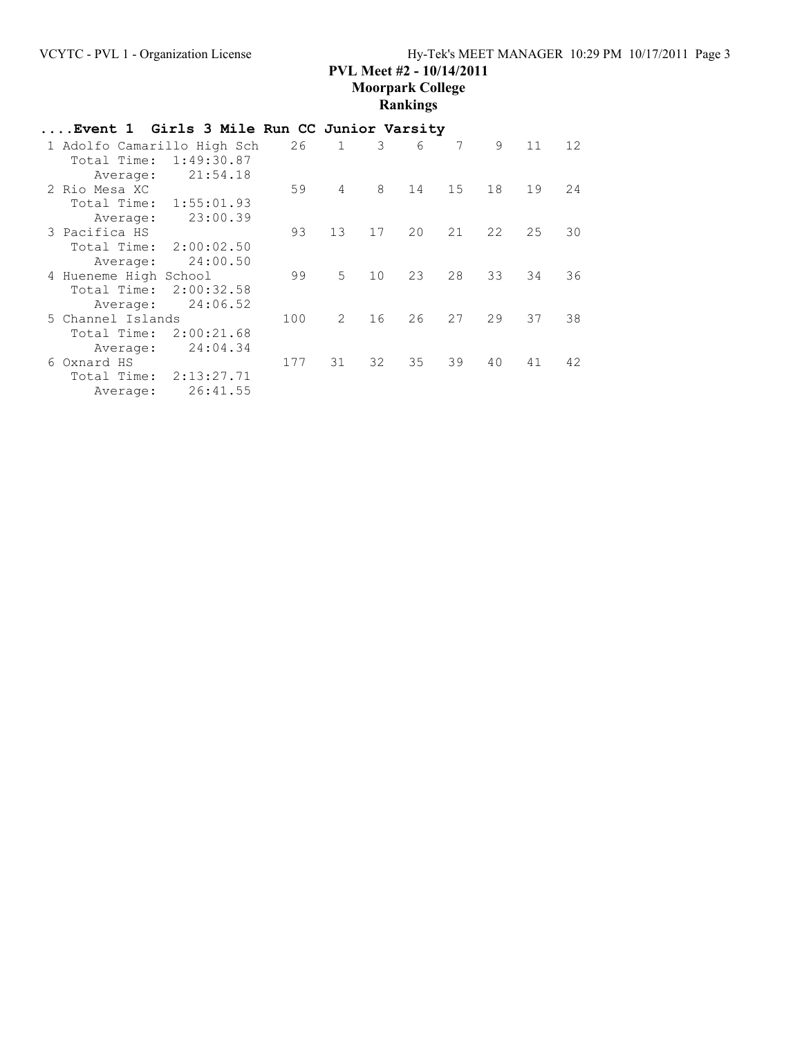| Event 1 Girls 3 Mile Run CC Junior Varsity |            |     |               |    |    |    |    |    |    |
|--------------------------------------------|------------|-----|---------------|----|----|----|----|----|----|
| 1 Adolfo Camarillo High Sch                |            | 26  | $\mathbf{1}$  | 3  | 6  | 7  | 9  | 11 | 12 |
| Total Time:                                | 1:49:30.87 |     |               |    |    |    |    |    |    |
| Average:                                   | 21:54.18   |     |               |    |    |    |    |    |    |
| 2 Rio Mesa XC                              |            | 59  | 4             | 8  | 14 | 15 | 18 | 19 | 24 |
| Total Time: 1:55:01.93                     |            |     |               |    |    |    |    |    |    |
| Average:                                   | 23:00.39   |     |               |    |    |    |    |    |    |
| 3 Pacifica HS                              |            | 93  | 13            | 17 | 20 | 21 | 22 | 25 | 30 |
| Total Time:                                | 2:00:02.50 |     |               |    |    |    |    |    |    |
| Average:                                   | 24:00.50   |     |               |    |    |    |    |    |    |
| 4 Hueneme High School                      |            | 99  | 5             | 10 | 23 | 28 | 33 | 34 | 36 |
| Total Time:                                | 2:00:32.58 |     |               |    |    |    |    |    |    |
| Average:                                   | 24:06.52   |     |               |    |    |    |    |    |    |
| 5 Channel Islands                          |            | 100 | $\mathcal{L}$ | 16 | 26 | 27 | 29 | 37 | 38 |
| Total Time:                                | 2:00:21.68 |     |               |    |    |    |    |    |    |
| Average:                                   | 24:04.34   |     |               |    |    |    |    |    |    |
| 6 Oxnard HS                                |            | 177 | 31            | 32 | 35 | 39 | 40 | 41 | 42 |
| Total Time:                                | 2:13:27.71 |     |               |    |    |    |    |    |    |
| Average:                                   | 26:41.55   |     |               |    |    |    |    |    |    |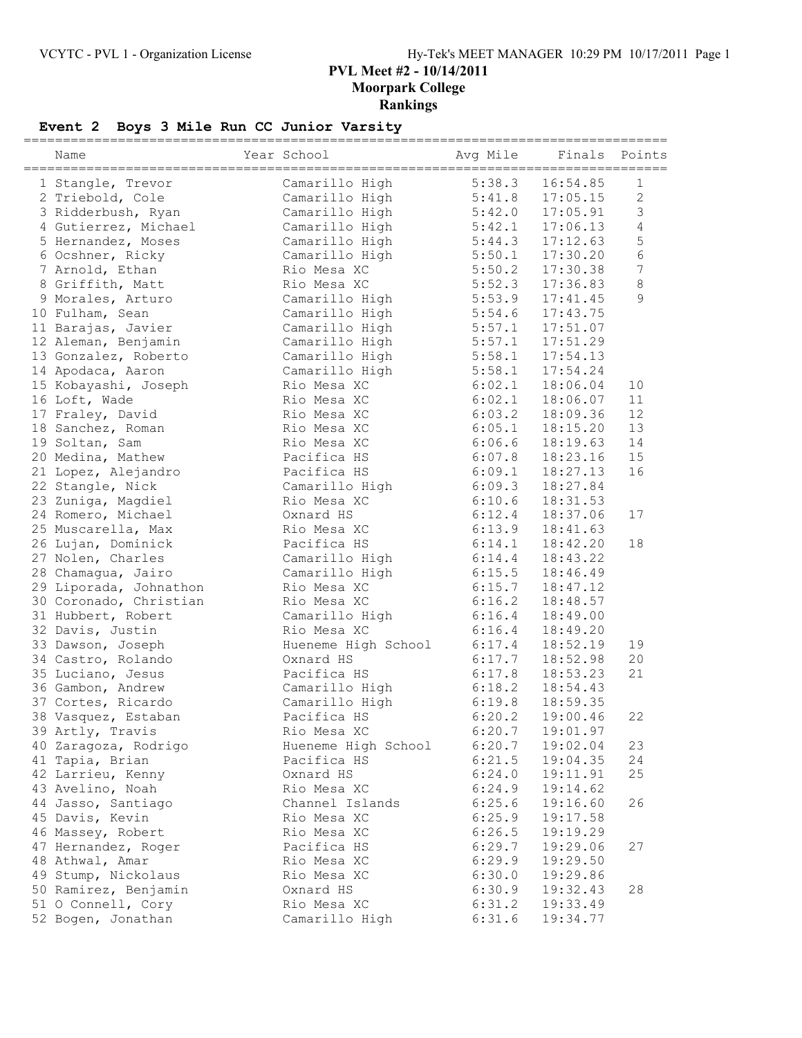# **Event 2 Boys 3 Mile Run CC Junior Varsity**

| Name                   | Year School         | =====================<br>Avg Mile | Finals   | Points           |
|------------------------|---------------------|-----------------------------------|----------|------------------|
|                        |                     |                                   |          |                  |
| 1 Stangle, Trevor      | Camarillo High      | 5:38.3                            | 16:54.85 | 1                |
| 2 Triebold, Cole       | Camarillo High      | 5:41.8                            | 17:05.15 | $\sqrt{2}$       |
| 3 Ridderbush, Ryan     | Camarillo High      | 5:42.0                            | 17:05.91 | 3                |
| 4 Gutierrez, Michael   | Camarillo High      | 5:42.1                            | 17:06.13 | $\sqrt{4}$       |
| 5 Hernandez, Moses     | Camarillo High      | 5:44.3                            | 17:12.63 | 5                |
| 6 Ocshner, Ricky       | Camarillo High      | 5:50.1                            | 17:30.20 | $6\phantom{a}$   |
| 7 Arnold, Ethan        | Rio Mesa XC         | 5:50.2                            | 17:30.38 | $\boldsymbol{7}$ |
| 8 Griffith, Matt       | Rio Mesa XC         | 5:52.3                            | 17:36.83 | 8                |
| 9 Morales, Arturo      | Camarillo High      | 5:53.9                            | 17:41.45 | 9                |
| 10 Fulham, Sean        | Camarillo High      | 5:54.6                            | 17:43.75 |                  |
| 11 Barajas, Javier     | Camarillo High      | 5:57.1                            | 17:51.07 |                  |
| 12 Aleman, Benjamin    | Camarillo High      | 5:57.1                            | 17:51.29 |                  |
| 13 Gonzalez, Roberto   | Camarillo High      | 5:58.1                            | 17:54.13 |                  |
| 14 Apodaca, Aaron      | Camarillo High      | 5:58.1                            | 17:54.24 |                  |
| 15 Kobayashi, Joseph   | Rio Mesa XC         | 6:02.1                            | 18:06.04 | 10               |
| 16 Loft, Wade          | Rio Mesa XC         | 6:02.1                            | 18:06.07 | 11               |
| 17 Fraley, David       | Rio Mesa XC         | 6:03.2                            | 18:09.36 | 12               |
| 18 Sanchez, Roman      | Rio Mesa XC         | 6:05.1                            | 18:15.20 | 13               |
| 19 Soltan, Sam         | Rio Mesa XC         | 6:06.6                            | 18:19.63 | 14               |
| 20 Medina, Mathew      | Pacifica HS         | 6:07.8                            | 18:23.16 | 15               |
| 21 Lopez, Alejandro    | Pacifica HS         | 6:09.1                            | 18:27.13 | 16               |
| 22 Stangle, Nick       | Camarillo High      | 6:09.3                            | 18:27.84 |                  |
| 23 Zuniga, Magdiel     | Rio Mesa XC         | 6:10.6                            | 18:31.53 |                  |
| 24 Romero, Michael     | Oxnard HS           | 6:12.4                            | 18:37.06 | 17               |
| 25 Muscarella, Max     | Rio Mesa XC         | 6:13.9                            | 18:41.63 |                  |
| 26 Lujan, Dominick     | Pacifica HS         | 6:14.1                            | 18:42.20 | 18               |
| 27 Nolen, Charles      | Camarillo High      | 6:14.4                            | 18:43.22 |                  |
| 28 Chamagua, Jairo     | Camarillo High      | 6:15.5                            | 18:46.49 |                  |
| 29 Liporada, Johnathon | Rio Mesa XC         | 6:15.7                            | 18:47.12 |                  |
| 30 Coronado, Christian | Rio Mesa XC         | 6:16.2                            | 18:48.57 |                  |
| 31 Hubbert, Robert     | Camarillo High      | 6:16.4                            | 18:49.00 |                  |
| 32 Davis, Justin       | Rio Mesa XC         | 6:16.4                            | 18:49.20 |                  |
| 33 Dawson, Joseph      | Hueneme High School | 6:17.4                            | 18:52.19 | 19               |
| 34 Castro, Rolando     | Oxnard HS           | 6:17.7                            | 18:52.98 | 20               |
| 35 Luciano, Jesus      | Pacifica HS         | 6:17.8                            | 18:53.23 | 21               |
| 36 Gambon, Andrew      | Camarillo High      | 6:18.2                            | 18:54.43 |                  |
| 37 Cortes, Ricardo     | Camarillo High      | 6:19.8                            | 18:59.35 |                  |
| 38 Vasquez, Estaban    | Pacifica HS         | 6:20.2                            | 19:00.46 | 22               |
| 39 Artly, Travis       | Rio Mesa XC         | 6:20.7                            | 19:01.97 |                  |
| 40 Zaragoza, Rodrigo   | Hueneme High School | 6:20.7                            | 19:02.04 | 23               |
| 41 Tapia, Brian        | Pacifica HS         | 6:21.5                            | 19:04.35 | 24               |
| 42 Larrieu, Kenny      | Oxnard HS           | 6:24.0                            | 19:11.91 | 25               |
| 43 Avelino, Noah       | Rio Mesa XC         | 6:24.9                            | 19:14.62 |                  |
| 44 Jasso, Santiago     | Channel Islands     | 6:25.6                            | 19:16.60 | 26               |
| 45 Davis, Kevin        | Rio Mesa XC         | 6:25.9                            | 19:17.58 |                  |
|                        | Rio Mesa XC         | 6:26.5                            | 19:19.29 |                  |
| 46 Massey, Robert      |                     |                                   |          |                  |
| 47 Hernandez, Roger    | Pacifica HS         | 6:29.7                            | 19:29.06 | 27               |
| 48 Athwal, Amar        | Rio Mesa XC         | 6:29.9                            | 19:29.50 |                  |
| 49 Stump, Nickolaus    | Rio Mesa XC         | 6:30.0                            | 19:29.86 |                  |
| 50 Ramirez, Benjamin   | Oxnard HS           | 6:30.9                            | 19:32.43 | 28               |
| 51 O Connell, Cory     | Rio Mesa XC         | 6:31.2                            | 19:33.49 |                  |
| 52 Bogen, Jonathan     | Camarillo High      | 6:31.6                            | 19:34.77 |                  |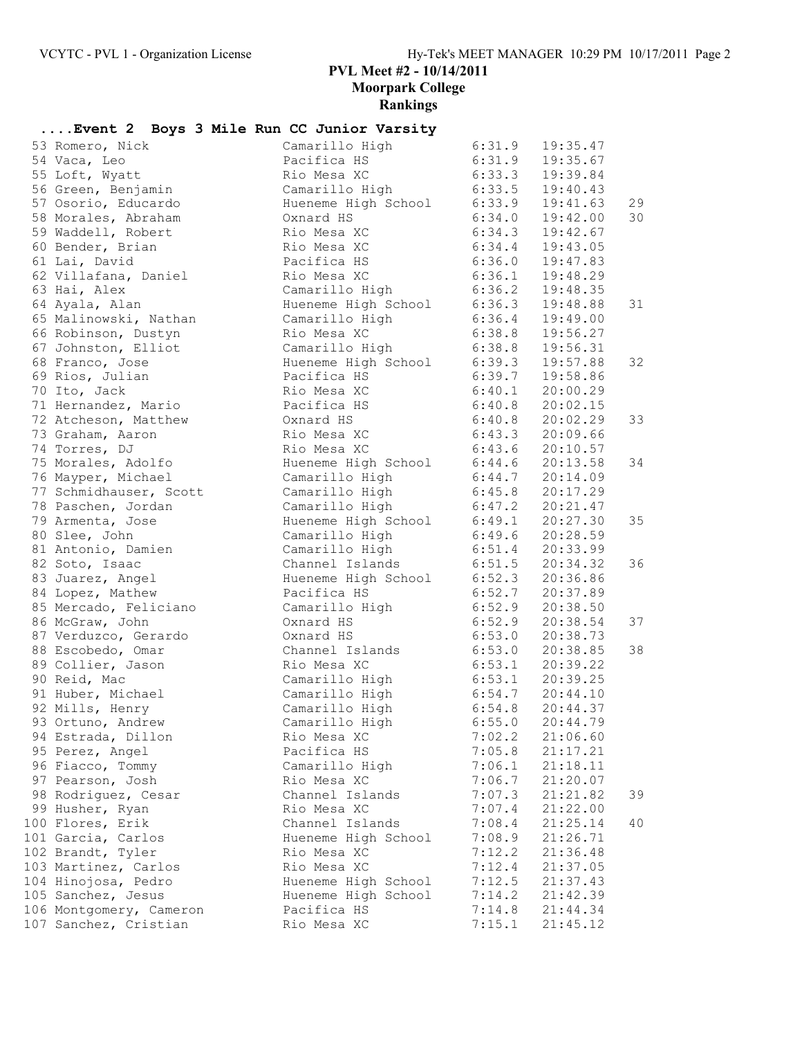# **....Event 2 Boys 3 Mile Run CC Junior Varsity**

| 53 Romero, Nick         | Camarillo High                      | 6:31.9              | 19:35.47            |    |
|-------------------------|-------------------------------------|---------------------|---------------------|----|
| 54 Vaca, Leo            | Pacifica HS                         | 6:31.9              | 19:35.67            |    |
| 55 Loft, Wyatt          | Rio Mesa XC                         | 6:33.3              | 19:39.84            |    |
| 56 Green, Benjamin      | Camarillo High                      | 6:33.5              | 19:40.43            |    |
| 57 Osorio, Educardo     | Hueneme High School 6:33.9          |                     | 19:41.63            | 29 |
| 58 Morales, Abraham     | Oxnard HS                           | 6:34.0              | 19:42.00            | 30 |
| 59 Waddell, Robert      | Rio Mesa XC                         | 6:34.3              | 19:42.67            |    |
| 60 Bender, Brian        | Rio Mesa XC                         | 6:34.4              | 19:43.05            |    |
| 61 Lai, David           | Pacifica HS                         | 6:36.0              | 19:47.83            |    |
| 62 Villafana, Daniel    | Rio Mesa XC                         | 6:36.1              | 19:48.29            |    |
| 63 Hai, Alex            | Camarillo High 6:36.2               |                     | 19:48.35            |    |
| 64 Ayala, Alan          | Hueneme High School 6:36.3          |                     | 19:48.88            | 31 |
| 65 Malinowski, Nathan   | Camarillo High                      | 6:36.4              | 19:49.00            |    |
| 66 Robinson, Dustyn     | Rio Mesa XC                         | 6:38.8              | 19:56.27            |    |
| 67 Johnston, Elliot     | Camarillo High                      | 6:38.8              | 19:56.31            |    |
| 68 Franco, Jose         | Hueneme High School 6:39.3          |                     | 19:57.88            | 32 |
| 69 Rios, Julian         | Pacifica HS                         | 6:39.7              | 19:58.86            |    |
| 70 Ito, Jack            | Rio Mesa XC                         | 6:40.1              | 20:00.29            |    |
| 71 Hernandez, Mario     | Pacifica HS                         | 6:40.8              | 20:02.15            |    |
| 72 Atcheson, Matthew    | Oxnard HS                           |                     | $6:40.8$ 20:02.29   | 33 |
| 73 Graham, Aaron        | Rio Mesa XC                         |                     | $6:43.3$ $20:09.66$ |    |
| 74 Torres, DJ           | Rio Mesa XC                         |                     | $6:43.6$ 20:10.57   |    |
| 75 Morales, Adolfo      | Hueneme High School 6:44.6 20:13.58 |                     |                     | 34 |
| 76 Mayper, Michael      | Camarillo High                      | $6:44.7$ 20:14.09   |                     |    |
| 77 Schmidhauser, Scott  | Camarillo High                      | $6:45.8$ 20:17.29   |                     |    |
| 78 Paschen, Jordan      | Camarillo High                      |                     | $6:47.2$ 20:21.47   |    |
| 79 Armenta, Jose        | Hueneme High School 6:49.1 20:27.30 |                     |                     | 35 |
| 80 Slee, John           | Camarillo High                      | 6:49.6              | 20:28.59            |    |
| 81 Antonio, Damien      | Camarillo High 6:51.4 20:33.99      |                     |                     |    |
| 82 Soto, Isaac          | Channel Islands                     | 6:51.5              | 20:34.32            | 36 |
| 83 Juarez, Angel        | Hueneme High School $6:52.3$        |                     | 20:36.86            |    |
| 84 Lopez, Mathew        | Pacifica HS                         | 6:52.7              | 20:37.89            |    |
| 85 Mercado, Feliciano   | Camarillo High                      | 6:52.9              | 20:38.50            |    |
| 86 McGraw, John         | Oxnard HS                           | 6:52.9              | 20:38.54            | 37 |
| 87 Verduzco, Gerardo    | Oxnard HS                           | 6:53.0              | 20:38.73            |    |
| 88 Escobedo, Omar       | Channel Islands                     | 6:53.0              | 20:38.85            | 38 |
| 89 Collier, Jason       | Rio Mesa XC                         | 6:53.1              | 20:39.22            |    |
| 90 Reid, Mac            | Camarillo High                      | $6:53.1$ 20:39.25   |                     |    |
| 91 Huber, Michael       | Camarillo High                      | $6:54.7$ $20:44.10$ |                     |    |
| 92 Mills, Henry         | Camarillo High                      |                     | $6:54.8$ 20:44.37   |    |
| 93 Ortuno, Andrew       | Camarillo High                      | 6:55.0              | 20:44.79            |    |
| 94 Estrada, Dillon      | Rio Mesa XC                         | 7:02.2              | 21:06.60            |    |
| 95 Perez, Angel         | Pacifica HS                         | 7:05.8              | 21:17.21            |    |
| 96 Fiacco, Tommy        | Camarillo High                      | 7:06.1              | 21:18.11            |    |
| 97 Pearson, Josh        | Rio Mesa XC                         | 7:06.7              | 21:20.07            |    |
| 98 Rodriguez, Cesar     | Channel Islands                     | 7:07.3              | 21:21.82            | 39 |
| 99 Husher, Ryan         | Rio Mesa XC                         | 7:07.4              | 21:22.00            |    |
| 100 Flores, Erik        | Channel Islands                     | 7:08.4              | 21:25.14            | 40 |
| 101 Garcia, Carlos      | Hueneme High School                 | 7:08.9              | 21:26.71            |    |
| 102 Brandt, Tyler       | Rio Mesa XC                         | 7:12.2              | 21:36.48            |    |
| 103 Martinez, Carlos    | Rio Mesa XC                         | 7:12.4              | 21:37.05            |    |
| 104 Hinojosa, Pedro     | Hueneme High School                 | 7:12.5              | 21:37.43            |    |
| 105 Sanchez, Jesus      | Hueneme High School                 | 7:14.2              | 21:42.39            |    |
| 106 Montgomery, Cameron | Pacifica HS                         | 7:14.8              | 21:44.34            |    |
| 107 Sanchez, Cristian   | Rio Mesa XC                         | 7:15.1              | 21:45.12            |    |
|                         |                                     |                     |                     |    |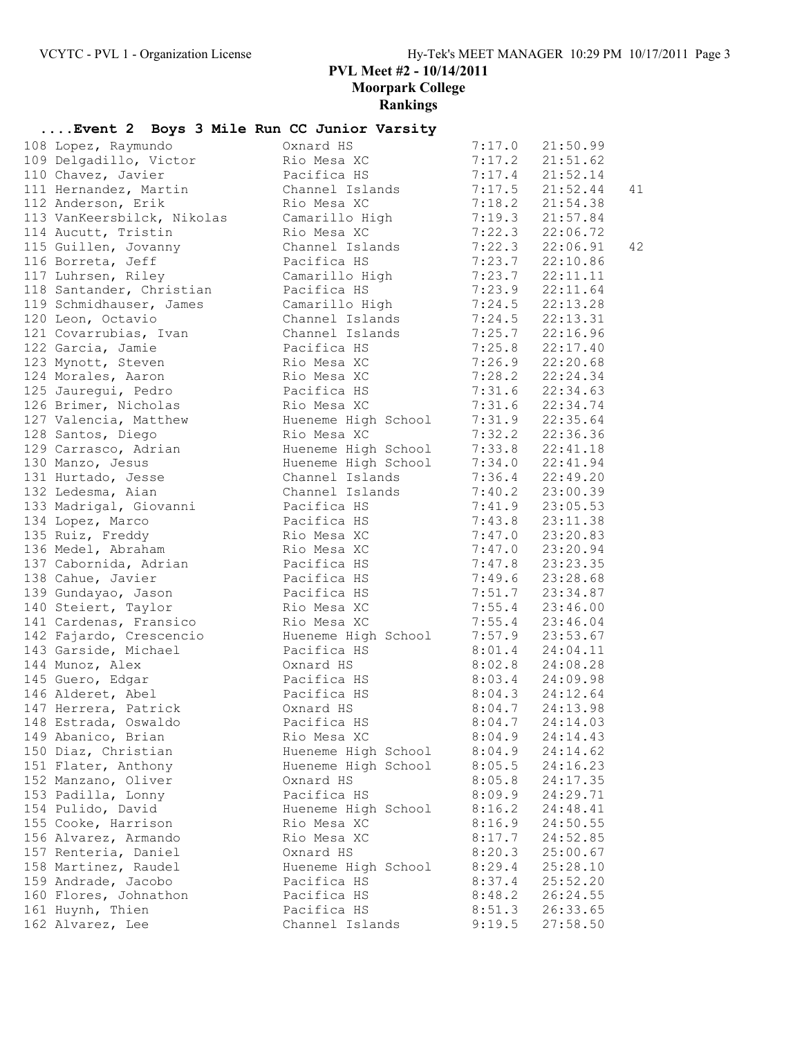### **Rankings ....Event 2 Boys 3 Mile Run CC Junior Varsity** 108 Lopez, Raymundo Oxnard HS 7:17.0 21:50.99 109 Delgadillo, Victor Rio Mesa XC 7:17.2 21:51.62 110 Chavez, Javier Pacifica HS 7:17.4 21:52.14 111 Hernandez, Martin Channel Islands 7:17.5 21:52.44 41 112 Anderson, Erik Rio Mesa XC 7:18.2 21:54.38 113 VanKeersbilck, Nikolas Camarillo High 7:19.3 21:57.84 114 Aucutt, Tristin Rio Mesa XC 7:22.3 22:06.72 115 Guillen, Jovanny Channel Islands 7:22.3 22:06.91 42 116 Borreta, Jeff Pacifica HS 7:23.7 22:10.86 117 Luhrsen, Riley Camarillo High 7:23.7 22:11.11 118 Santander, Christian Pacifica HS 7:23.9 22:11.64 119 Schmidhauser, James Camarillo High 7:24.5 22:13.28 120 Leon, Octavio Channel Islands 7:24.5 22:13.31 121 Covarrubias, Ivan Channel Islands 7:25.7 22:16.96 122 Garcia, Jamie Pacifica HS 7:25.8 22:17.40 123 Mynott, Steven Rio Mesa XC 7:26.9 22:20.68 124 Morales, Aaron Rio Mesa XC 7:28.2 22:24.34 125 Jauregui, Pedro Pacifica HS 7:31.6 22:34.63 126 Brimer, Nicholas Rio Mesa XC 7:31.6 22:34.74 127 Valencia, Matthew Hueneme High School 7:31.9 22:35.64 128 Santos, Diego Rio Mesa XC 7:32.2 22:36.36 129 Carrasco, Adrian Hueneme High School 7:33.8 22:41.18 130 Manzo, Jesus Hueneme High School 7:34.0 22:41.94 131 Hurtado, Jesse Channel Islands 7:36.4 22:49.20 132 Ledesma, Aian Channel Islands 7:40.2 23:00.39 133 Madrigal, Giovanni Pacifica HS 7:41.9 23:05.53 134 Lopez, Marco Pacifica HS 7:43.8 23:11.38 135 Ruiz, Freddy Rio Mesa XC 7:47.0 23:20.83 136 Medel, Abraham Rio Mesa XC 7:47.0 23:20.94 137 Cabornida, Adrian Pacifica HS 7:47.8 23:23.35 138 Cahue, Javier Pacifica HS 7:49.6 23:28.68 139 Gundayao, Jason Pacifica HS 7:51.7 23:34.87 140 Steiert, Taylor Rio Mesa XC 7:55.4 23:46.00 141 Cardenas, Fransico Rio Mesa XC 7:55.4 23:46.04 142 Fajardo, Crescencio Hueneme High School 7:57.9 23:53.67 143 Garside, Michael Pacifica HS 8:01.4 24:04.11 144 Munoz, Alex Oxnard HS 8:02.8 24:08.28 145 Guero, Edgar Pacifica HS 8:03.4 24:09.98 146 Alderet, Abel Pacifica HS 8:04.3 24:12.64 147 Herrera, Patrick Oxnard HS 8:04.7 24:13.98 148 Estrada, Oswaldo Pacifica HS 8:04.7 24:14.03 149 Abanico, Brian Rio Mesa XC 8:04.9 24:14.43 150 Diaz, Christian Hueneme High School 8:04.9 24:14.62 151 Flater, Anthony Hueneme High School 8:05.5 24:16.23 152 Manzano, Oliver Oxnard HS 8:05.8 24:17.35 153 Padilla, Lonny Pacifica HS 8:09.9 24:29.71 154 Pulido, David Hueneme High School 8:16.2 24:48.41 155 Cooke, Harrison Rio Mesa XC 8:16.9 24:50.55 156 Alvarez, Armando Rio Mesa XC 8:17.7 24:52.85 157 Renteria, Daniel Oxnard HS 8:20.3 25:00.67 158 Martinez, Raudel Hueneme High School 8:29.4 25:28.10 159 Andrade, Jacobo Pacifica HS 8:37.4 25:52.20 160 Flores, Johnathon Pacifica HS 8:48.2 26:24.55 161 Huynh, Thien Pacifica HS 8:51.3 26:33.65 162 Alvarez, Lee Channel Islands 9:19.5 27:58.50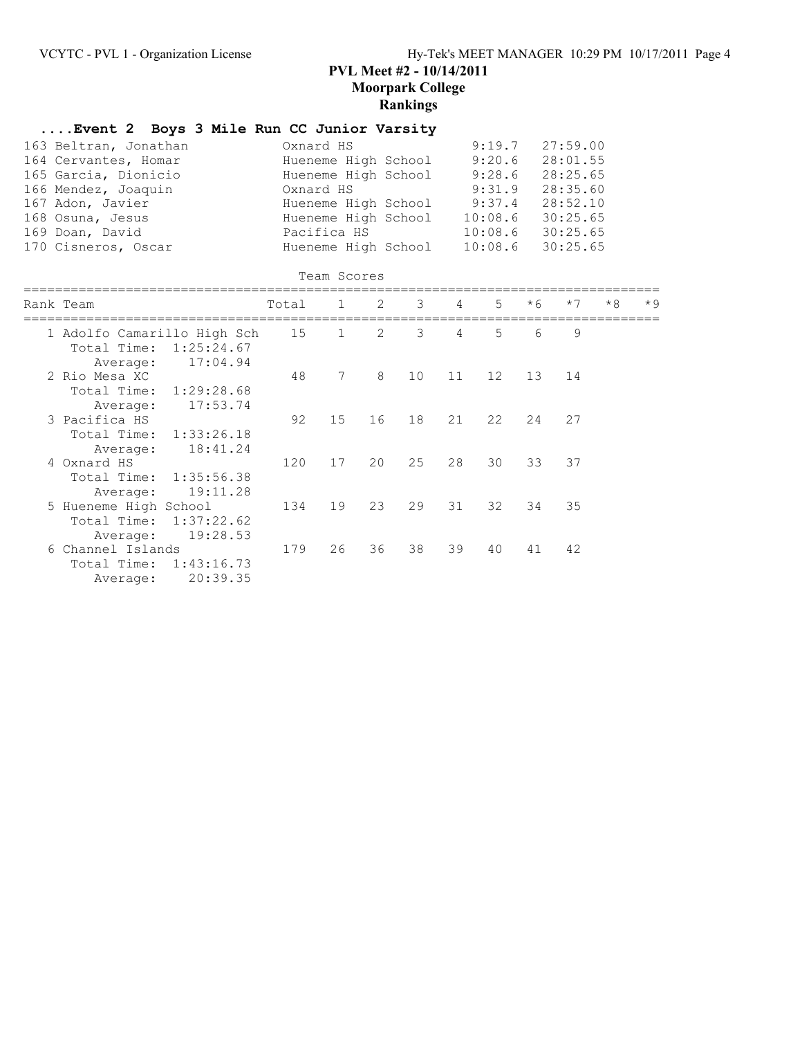## **....Event 2 Boys 3 Mile Run CC Junior Varsity**

| 163 Beltran, Jonathan | Oxnard HS           |                  | $9:19.7$ $27:59.00$ |
|-----------------------|---------------------|------------------|---------------------|
| 164 Cervantes, Homar  | Hueneme High School | 9:20.6           | 28:01.55            |
| 165 Garcia, Dionicio  | Hueneme High School | 9:28.6           | 28:25.65            |
| 166 Mendez, Joaquin   | Oxnard HS           | 9:31.9           | 28:35.60            |
| 167 Adon, Javier      | Hueneme High School | 9:37.4           | 28:52.10            |
| 168 Osuna, Jesus      | Hueneme High School | 10:08.6          | 30:25.65            |
| 169 Doan, David       | Pacifica HS         | 10:08.6          | 30:25.65            |
| 170 Cisneros, Oscar   | Hueneme High School | 10:08.6 30:25.65 |                     |

### Team Scores

|             |                                                                        |                                                                                                                                                                                            |                             |    |    | $\overline{4}$  | $5 -$                | $*6$ | $*7$ | $*8$ | $*9$ |
|-------------|------------------------------------------------------------------------|--------------------------------------------------------------------------------------------------------------------------------------------------------------------------------------------|-----------------------------|----|----|-----------------|----------------------|------|------|------|------|
|             |                                                                        | 15                                                                                                                                                                                         | $\mathbf 1$                 | 2  | 3  | 4               | 5                    | 6    | 9    |      |      |
| Total Time: |                                                                        |                                                                                                                                                                                            |                             |    |    |                 |                      |      |      |      |      |
|             |                                                                        |                                                                                                                                                                                            |                             |    |    |                 |                      |      |      |      |      |
|             |                                                                        | 48                                                                                                                                                                                         |                             |    |    |                 | 12                   |      | 14   |      |      |
|             |                                                                        |                                                                                                                                                                                            |                             |    |    |                 |                      |      |      |      |      |
| Average:    | 17:53.74                                                               |                                                                                                                                                                                            |                             |    |    |                 |                      |      |      |      |      |
|             |                                                                        | 92                                                                                                                                                                                         | 15                          | 16 | 18 | 21              | 22                   | 24   | 27   |      |      |
|             |                                                                        |                                                                                                                                                                                            |                             |    |    |                 |                      |      |      |      |      |
| Average:    | 18:41.24                                                               |                                                                                                                                                                                            |                             |    |    |                 |                      |      |      |      |      |
|             |                                                                        | 120                                                                                                                                                                                        | 17                          | 20 | 25 | 28              | 30                   | 33   | 37   |      |      |
|             |                                                                        |                                                                                                                                                                                            |                             |    |    |                 |                      |      |      |      |      |
| Average:    | 19:11.28                                                               |                                                                                                                                                                                            |                             |    |    |                 |                      |      |      |      |      |
|             |                                                                        | 134                                                                                                                                                                                        | 19                          | 23 | 29 | 31              | 32                   | 34   | 35   |      |      |
| Total Time: |                                                                        |                                                                                                                                                                                            |                             |    |    |                 |                      |      |      |      |      |
| Average:    | 19:28.53                                                               |                                                                                                                                                                                            |                             |    |    |                 |                      |      |      |      |      |
|             |                                                                        | 179                                                                                                                                                                                        | 26                          | 36 | 38 | 39              | 40                   | 41   | 42   |      |      |
|             |                                                                        |                                                                                                                                                                                            |                             |    |    |                 |                      |      |      |      |      |
| Average:    | 20:39.35                                                               |                                                                                                                                                                                            |                             |    |    |                 |                      |      |      |      |      |
|             | Rank Team<br>Average:<br>2 Rio Mesa XC<br>3 Pacifica HS<br>4 Oxnard HS | 1:25:24.67<br>17:04.94<br>Total Time: 1:29:28.68<br>Total Time: 1:33:26.18<br>Total Time: 1:35:56.38<br>5 Hueneme High School<br>1:37:22.62<br>6 Channel Islands<br>Total Time: 1:43:16.73 | 1 Adolfo Camarillo High Sch | 7  | 8  | Total 1 2<br>10 | 3 <sup>7</sup><br>11 |      | 13   |      |      |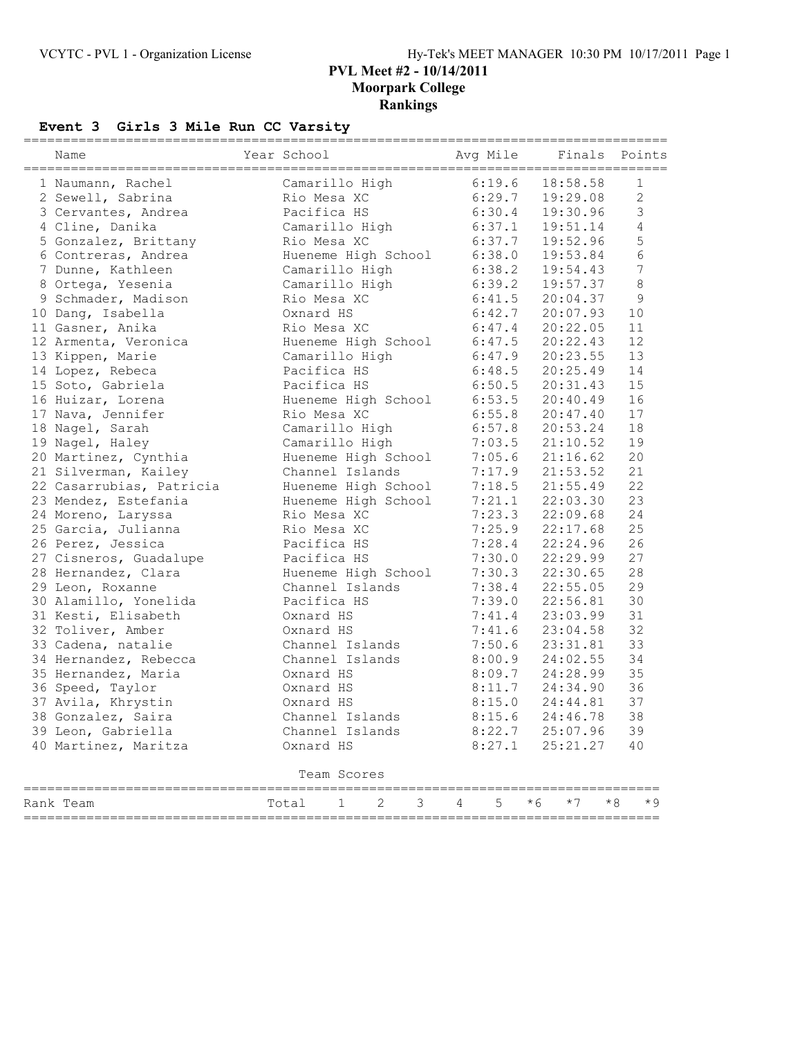## **Event 3 Girls 3 Mile Run CC Varsity**

| Name                     | Year School         |                     |   |   |            | Avg Mile          |      | Finals   |      | Points         |
|--------------------------|---------------------|---------------------|---|---|------------|-------------------|------|----------|------|----------------|
| 1 Naumann, Rachel        | Camarillo High      |                     |   |   |            | 6:19.6            |      | 18:58.58 |      | $\mathbf{1}$   |
| 2 Sewell, Sabrina        | Rio Mesa XC         |                     |   |   |            | 6:29.7            |      | 19:29.08 |      | $\overline{c}$ |
| 3 Cervantes, Andrea      | Pacifica HS         |                     |   |   |            | 6:30.4            |      | 19:30.96 |      | 3              |
| 4 Cline, Danika          | Camarillo High      |                     |   |   |            | 6:37.1            |      | 19:51.14 |      | $\sqrt{4}$     |
| 5 Gonzalez, Brittany     | Rio Mesa XC         |                     |   |   |            | 6:37.7            |      | 19:52.96 |      | 5              |
| 6 Contreras, Andrea      |                     | Hueneme High School |   |   |            | 6:38.0            |      | 19:53.84 |      | 6              |
| 7 Dunne, Kathleen        | Camarillo High      |                     |   |   |            | 6:38.2            |      | 19:54.43 |      | 7              |
| 8 Ortega, Yesenia        | Camarillo High      |                     |   |   |            | 6:39.2            |      | 19:57.37 |      | 8              |
| 9 Schmader, Madison      | Rio Mesa XC         |                     |   |   |            | 6:41.5            |      | 20:04.37 |      | 9              |
| 10 Dang, Isabella        | Oxnard HS           |                     |   |   |            | 6:42.7            |      | 20:07.93 |      | 10             |
| 11 Gasner, Anika         | Rio Mesa XC         |                     |   |   |            | 6:47.4            |      | 20:22.05 |      | 11             |
| 12 Armenta, Veronica     | Hueneme High School |                     |   |   |            | 6:47.5            |      | 20:22.43 |      | 12             |
| 13 Kippen, Marie         | Camarillo High      |                     |   |   |            | 6:47.9            |      | 20:23.55 |      | 13             |
| 14 Lopez, Rebeca         | Pacifica HS         |                     |   |   |            | 6:48.5            |      | 20:25.49 |      | 14             |
| 15 Soto, Gabriela        | Pacifica HS         |                     |   |   |            | 6:50.5            |      | 20:31.43 |      | 15             |
| 16 Huizar, Lorena        | Hueneme High School |                     |   |   |            | 6:53.5            |      | 20:40.49 |      | 16             |
| 17 Nava, Jennifer        | Rio Mesa XC         |                     |   |   |            | 6:55.8            |      | 20:47.40 |      | 17             |
| 18 Nagel, Sarah          | Camarillo High      |                     |   |   |            | 6:57.8            |      | 20:53.24 |      | 18             |
| 19 Nagel, Haley          | Camarillo High      |                     |   |   |            | 7:03.5            |      | 21:10.52 |      | 19             |
| 20 Martinez, Cynthia     | Hueneme High School |                     |   |   |            | 7:05.6            |      | 21:16.62 |      | 20             |
| 21 Silverman, Kailey     | Channel Islands     |                     |   |   |            | 7:17.9            |      | 21:53.52 |      | 21             |
| 22 Casarrubias, Patricia | Hueneme High School |                     |   |   |            | 7:18.5            |      | 21:55.49 |      | 22             |
| 23 Mendez, Estefania     | Hueneme High School |                     |   |   |            | 7:21.1            |      | 22:03.30 |      | 23             |
| 24 Moreno, Laryssa       | Rio Mesa XC         |                     |   |   |            | 7:23.3            |      | 22:09.68 |      | 24             |
| 25 Garcia, Julianna      | Rio Mesa XC         |                     |   |   |            | 7:25.9            |      | 22:17.68 |      | 25             |
| 26 Perez, Jessica        | Pacifica HS         |                     |   |   |            | 7:28.4            |      | 22:24.96 |      | 26             |
| 27 Cisneros, Guadalupe   | Pacifica HS         |                     |   |   |            | 7:30.0            |      | 22:29.99 |      | 27             |
| 28 Hernandez, Clara      | Hueneme High School |                     |   |   |            | 7:30.3            |      | 22:30.65 |      | 28             |
| 29 Leon, Roxanne         | Channel Islands     |                     |   |   |            | 7:38.4            |      | 22:55.05 |      | 29             |
| 30 Alamillo, Yonelida    | Pacifica HS         |                     |   |   |            | 7:39.0            |      | 22:56.81 |      | 30             |
| 31 Kesti, Elisabeth      | Oxnard HS           |                     |   |   |            | 7:41.4            |      | 23:03.99 |      | 31             |
| 32 Toliver, Amber        | Oxnard HS           |                     |   |   |            | 7:41.6            |      | 23:04.58 |      | 32             |
| 33 Cadena, natalie       | Channel Islands     |                     |   |   |            | 7:50.6            |      | 23:31.81 |      | 33             |
| 34 Hernandez, Rebecca    | Channel Islands     |                     |   |   |            | 8:00.9            |      | 24:02.55 |      | 34             |
| 35 Hernandez, Maria      | Oxnard HS           |                     |   |   |            | 8:09.7            |      | 24:28.99 |      | 35             |
| 36 Speed, Taylor         | Oxnard HS           |                     |   |   |            | 8:11.7            |      | 24:34.90 |      | 36             |
| 37 Avila, Khrystin       | Oxnard HS           |                     |   |   |            | 8:15.0            |      | 24:44.81 |      | 37             |
| 38 Gonzalez, Saira       | Channel Islands     |                     |   |   |            | $8:15.6$ 24:46.78 |      |          |      | 38             |
| 39 Leon, Gabriella       | Channel Islands     |                     |   |   |            | 8:22.7            |      | 25:07.96 |      | 39             |
| 40 Martinez, Maritza     | Oxnard HS           |                     |   |   |            | 8:27.1            |      | 25:21.27 |      | 40             |
|                          |                     | Team Scores         |   |   |            |                   |      |          |      |                |
|                          |                     |                     |   |   |            |                   |      |          |      |                |
| Rank Team                | Total               | $\mathbf 1$         | 2 | 3 | $4\degree$ | 5                 | $*6$ | $*7$     | $*8$ | $*9$           |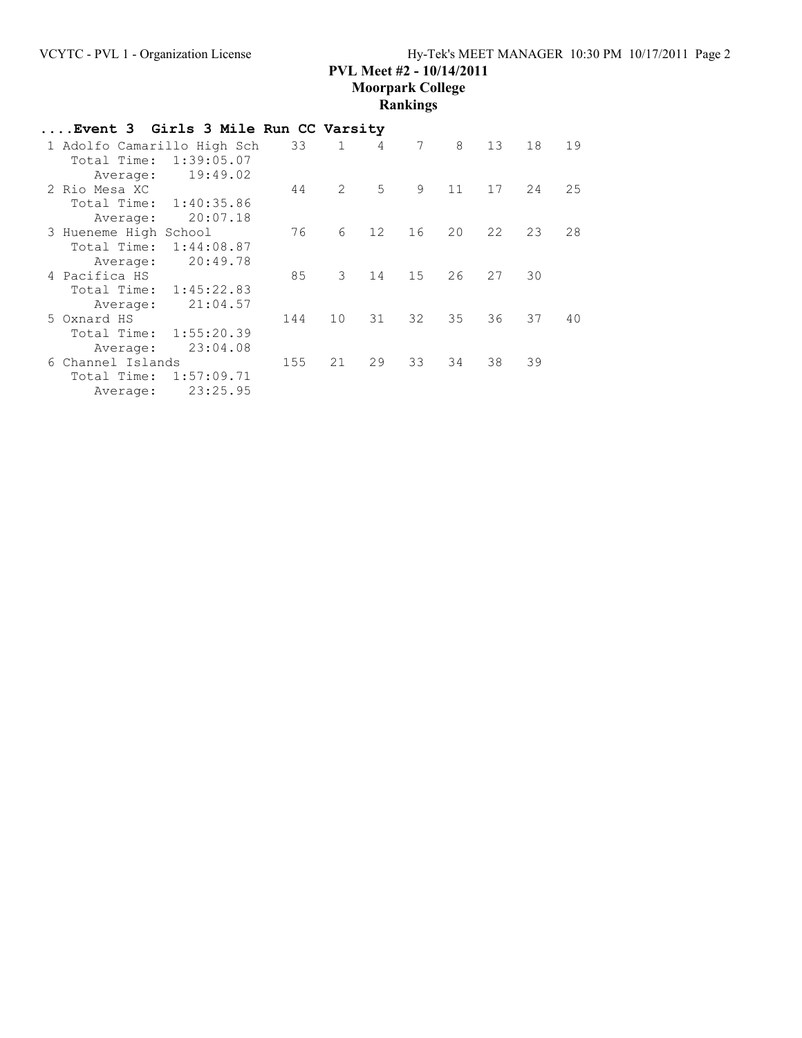| Event 3 Girls 3 Mile Run CC Varsity |            |     |              |    |    |    |                 |    |     |
|-------------------------------------|------------|-----|--------------|----|----|----|-----------------|----|-----|
| 1 Adolfo Camarillo High Sch         |            | 33  | $\mathbf{1}$ | 4  | 7  | 8  | 13 <sup>7</sup> | 18 | 19  |
| Total Time:                         | 1:39:05.07 |     |              |    |    |    |                 |    |     |
| Average:                            | 19:49.02   |     |              |    |    |    |                 |    |     |
| 2 Rio Mesa XC                       |            | 44  | 2            | 5  | 9  | 11 | 17              | 24 | 2.5 |
| Total Time:                         | 1:40:35.86 |     |              |    |    |    |                 |    |     |
| Average:                            | 20:07.18   |     |              |    |    |    |                 |    |     |
| 3 Hueneme High School               |            | 76  | 6            | 12 | 16 | 20 | 22              | 23 | 28  |
| Total Time:                         | 1:44:08.87 |     |              |    |    |    |                 |    |     |
| Average:                            | 20:49.78   |     |              |    |    |    |                 |    |     |
| 4 Pacifica HS                       |            | 85  | 3            | 14 | 15 | 26 | 27              | 30 |     |
| Total Time: 1:45:22.83              |            |     |              |    |    |    |                 |    |     |
| Average:                            | 21:04.57   |     |              |    |    |    |                 |    |     |
| 5 Oxnard HS                         |            | 144 | 10           | 31 | 32 | 35 | 36              | 37 | 40  |
| Total Time:                         | 1:55:20.39 |     |              |    |    |    |                 |    |     |
| Average:                            | 23:04.08   |     |              |    |    |    |                 |    |     |
| 6 Channel Islands                   |            | 155 | 21           | 29 | 33 | 34 | 38              | 39 |     |
| Total Time:                         | 1:57:09.71 |     |              |    |    |    |                 |    |     |
| Average:                            | 23:25.95   |     |              |    |    |    |                 |    |     |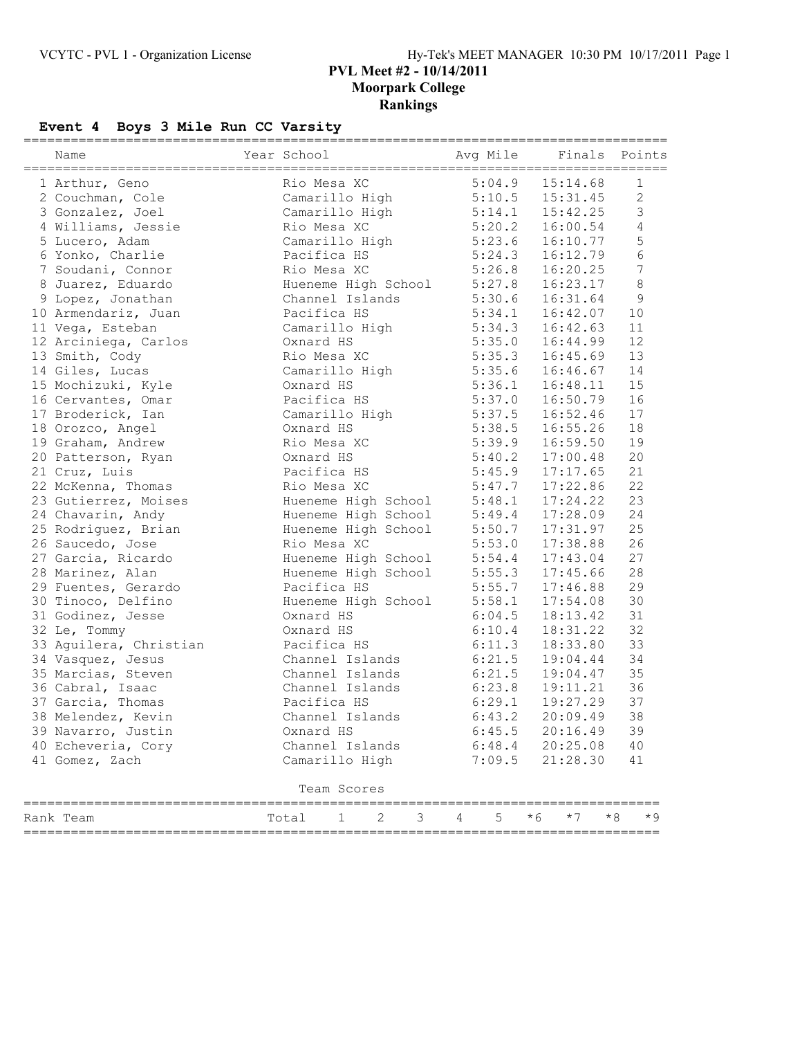# **Event 4 Boys 3 Mile Run CC Varsity**

| Name                   | Year School         |             | =================================== |   |   | Avq Mile |     |          | Finals |      | Points         |
|------------------------|---------------------|-------------|-------------------------------------|---|---|----------|-----|----------|--------|------|----------------|
| 1 Arthur, Geno         | Rio Mesa XC         |             |                                     |   |   | 5:04.9   |     | 15:14.68 |        |      | 1              |
| 2 Couchman, Cole       | Camarillo High      |             |                                     |   |   | 5:10.5   |     | 15:31.45 |        |      | $\mathbf{2}$   |
| 3 Gonzalez, Joel       | Camarillo High      |             |                                     |   |   | 5:14.1   |     | 15:42.25 |        |      | 3              |
| 4 Williams, Jessie     | Rio Mesa XC         |             |                                     |   |   | 5:20.2   |     | 16:00.54 |        |      | $\sqrt{4}$     |
| 5 Lucero, Adam         | Camarillo High      |             |                                     |   |   | 5:23.6   |     | 16:10.77 |        |      | 5              |
| 6 Yonko, Charlie       | Pacifica HS         |             |                                     |   |   | 5:24.3   |     | 16:12.79 |        |      | 6              |
| 7 Soudani, Connor      | Rio Mesa XC         |             |                                     |   |   | 5:26.8   |     | 16:20.25 |        |      | $\overline{7}$ |
| 8 Juarez, Eduardo      | Hueneme High School |             |                                     |   |   | 5:27.8   |     | 16:23.17 |        |      | 8              |
| 9 Lopez, Jonathan      | Channel Islands     |             |                                     |   |   | 5:30.6   |     | 16:31.64 |        |      | $\overline{9}$ |
| 10 Armendariz, Juan    | Pacifica HS         |             |                                     |   |   | 5:34.1   |     | 16:42.07 |        | 10   |                |
| 11 Vega, Esteban       | Camarillo High      |             |                                     |   |   | 5:34.3   |     | 16:42.63 |        | 11   |                |
| 12 Arciniega, Carlos   | Oxnard HS           |             |                                     |   |   | 5:35.0   |     | 16:44.99 |        | 12   |                |
| 13 Smith, Cody         | Rio Mesa XC         |             |                                     |   |   | 5:35.3   |     | 16:45.69 |        | 13   |                |
| 14 Giles, Lucas        | Camarillo High      |             |                                     |   |   | 5:35.6   |     | 16:46.67 |        | 14   |                |
| 15 Mochizuki, Kyle     | Oxnard HS           |             |                                     |   |   | 5:36.1   |     | 16:48.11 |        | 15   |                |
| 16 Cervantes, Omar     | Pacifica HS         |             |                                     |   |   | 5:37.0   |     | 16:50.79 |        | 16   |                |
| 17 Broderick, Ian      | Camarillo High      |             |                                     |   |   | 5:37.5   |     | 16:52.46 |        | 17   |                |
| 18 Orozco, Angel       | Oxnard HS           |             |                                     |   |   | 5:38.5   |     | 16:55.26 |        | 18   |                |
| 19 Graham, Andrew      | Rio Mesa XC         |             |                                     |   |   | 5:39.9   |     | 16:59.50 |        | 19   |                |
| 20 Patterson, Ryan     | Oxnard HS           |             |                                     |   |   | 5:40.2   |     | 17:00.48 |        | 20   |                |
| 21 Cruz, Luis          | Pacifica HS         |             |                                     |   |   | 5:45.9   |     | 17:17.65 |        | 21   |                |
| 22 McKenna, Thomas     | Rio Mesa XC         |             |                                     |   |   | 5:47.7   |     | 17:22.86 |        | 22   |                |
| 23 Gutierrez, Moises   | Hueneme High School |             |                                     |   |   | 5:48.1   |     | 17:24.22 |        | 23   |                |
| 24 Chavarin, Andy      | Hueneme High School |             |                                     |   |   | 5:49.4   |     | 17:28.09 |        | 24   |                |
| 25 Rodriguez, Brian    | Hueneme High School |             |                                     |   |   | 5:50.7   |     | 17:31.97 |        | 25   |                |
| 26 Saucedo, Jose       | Rio Mesa XC         |             |                                     |   |   | 5:53.0   |     | 17:38.88 |        | 26   |                |
| 27 Garcia, Ricardo     | Hueneme High School |             |                                     |   |   | 5:54.4   |     | 17:43.04 |        | 27   |                |
| 28 Marinez, Alan       | Hueneme High School |             |                                     |   |   | 5:55.3   |     | 17:45.66 |        | 28   |                |
| 29 Fuentes, Gerardo    | Pacifica HS         |             |                                     |   |   | 5:55.7   |     | 17:46.88 |        | 29   |                |
| 30 Tinoco, Delfino     | Hueneme High School |             |                                     |   |   | 5:58.1   |     | 17:54.08 |        | 30   |                |
| 31 Godinez, Jesse      | Oxnard HS           |             |                                     |   |   | 6:04.5   |     | 18:13.42 |        | 31   |                |
| 32 Le, Tommy           | Oxnard HS           |             |                                     |   |   | 6:10.4   |     | 18:31.22 |        | 32   |                |
| 33 Aguilera, Christian | Pacifica HS         |             |                                     |   |   | 6:11.3   |     | 18:33.80 |        | 33   |                |
| 34 Vasquez, Jesus      | Channel Islands     |             |                                     |   |   | 6:21.5   |     | 19:04.44 |        | 34   |                |
| 35 Marcias, Steven     | Channel Islands     |             |                                     |   |   | 6:21.5   |     | 19:04.47 |        | 35   |                |
| 36 Cabral, Isaac       | Channel Islands     |             |                                     |   |   | 6:23.8   |     | 19:11.21 |        | 36   |                |
| 37 Garcia, Thomas      | Pacifica HS         |             |                                     |   |   | 6:29.1   |     | 19:27.29 |        | 37   |                |
| 38 Melendez, Kevin     | Channel Islands     |             |                                     |   |   | 6:43.2   |     | 20:09.49 |        | 38   |                |
| 39 Navarro, Justin     | Oxnard HS           |             |                                     |   |   | 6:45.5   |     | 20:16.49 |        | 39   |                |
| 40 Echeveria, Cory     | Channel Islands     |             |                                     |   |   | 6:48.4   |     | 20:25.08 |        | 40   |                |
| 41 Gomez, Zach         | Camarillo High      |             |                                     |   |   | 7:09.5   |     | 21:28.30 |        | 41   |                |
|                        | ===========         | Team Scores |                                     |   |   |          |     |          |        |      |                |
| Rank Team              | Total               | 1           | 2                                   | 3 | 4 | 5        | * 6 | $*7$     |        | $*8$ | * 9            |